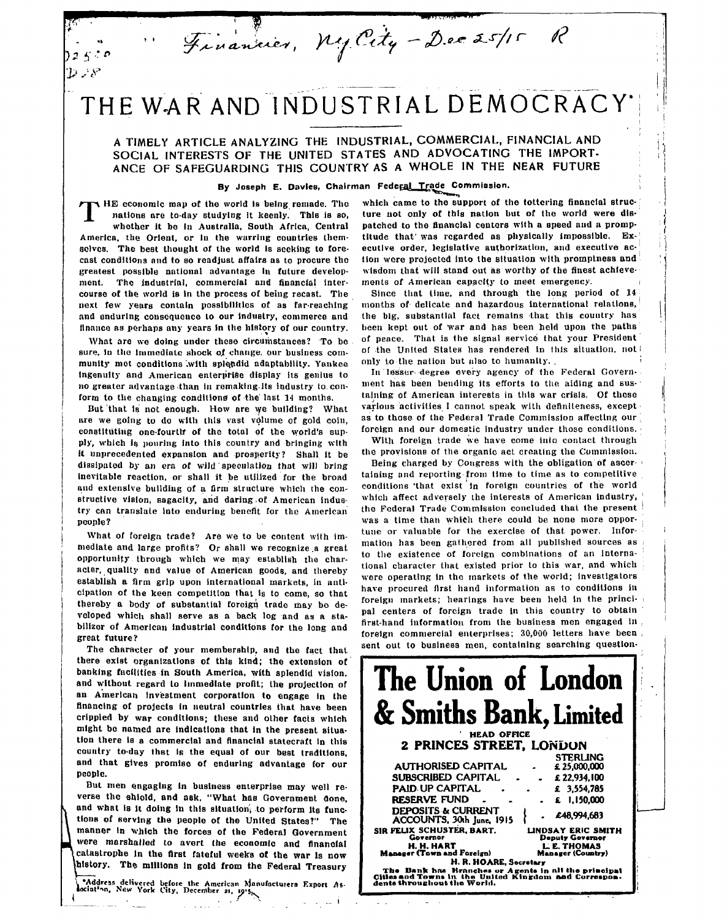THE WAR AND INDUSTRIAL DEMOCRACY

Financier, My City - Dec 25/15

**A TIMELY ARTICLE ANALYZING THE INDUSTRIAL, COMMERCIAL, FINANCIAL AND SOCIAL INTERESTS OF THE UNITED STATES AND ADVOCATING THE IMPORT-ANCE OF SAFEGUARDING THIS COUNTRY AS A WHOLE IN THE NEAR FUTURE**

## **By Joseph E. DavleB, Chairman Federal Trade Commission.**

**THE** economic map of the world is being remade. The nations are to-day studying it keenly. This is so, whether it be in Australia. South Africa. Central **nations are to-day studying it keenly. This is so, whether It be in Australia, South Africa, Central America, the Orient, or In the warring countries themselves. The best thought of the world is seeking to forecast conditions and to so readjust affairs as to procure the** greatest possible national advantage in future develop**ment. The industrial, commercial and financial intercourse of the world is In the process of being recast. Tbe next few years contain possibilities of as far-reaching and enduring consequence to our industry, commerce and finance as perhaps any years In the history of our country.**

 $\mathcal{D} \supseteq \mathcal{S}$ 

What are we doing under these circumstances? To be **sure. In the Immediate shock** *of* **change, our business community mot conditions '.with splendid adaptability. Yankee Ingenuity and American enterprise display its genius to no greater advantage than in remnklng its industry to conform to the changing conditions of the last 14 months.**

But that is not enough. How are we building? What **ure we going to do with this vast volume of gold coin, constituting one-fourttr of the total of the world's sup**ply, which is pouring into this country and bringing with **it unprecedented expansion and prosperity? Shall it be dissipated by an era of wild speculation that will bring Inevitable reaction, or shall it be utilized for the broad and extensive building of a firm structure which the constructive vision, sagacity, and daring.of American industry can translate into enduring benefit for the American people?**

What of foreign trade? Are we to be content with im**mediate and large profits? Or shall we recognize,a great,** opportunity through which we may establish the char**acter, quality and value of American goods, and thereby establish a firm grip upon international markets, in anticipation of the keen competition that is to come, so that** thereby a body of substantial foreign trade may be de**veloped which shall serve as a back log and as a stabilizer of American industrial conditions for the long and great future?**

**The character of your membership, and tbe fact that there exist organizations of this kind; the extension of banking facilities in South America, with splendid vision, and without regard to Immediate profit; the projection of an American Investment corporation to engage in the financing of projects in neutral countries that have been crippled by war conditions; these and other facts which might be named are indications that in the present situation there is a commercial and financial statecraft In this country to-day that Is the equal of our best traditions, and that gives promise of enduring advantage for our people.**

But men engaging in business enterprise may well reverse the shiold, and ask, "What has Government done, and what is it doing in this situation, to perform its func**tions of serving the people of the United States?" The manner In which the forces of the Federal Government were marshalled to avert the economic and financial** catastrophe in the first fateful weeks of the war is now **^history. The millions In gold from the Federal Treasury**

**C**<sup>\*</sup>Address delivered before the American Monufacturers Export As-<br>lociat<sup>1</sup>nn, New York City, Decentber 21, 1915,

**which came to the support of the tottering financial struc-' lure not only of this nation but of the world were dispatched to the financial centers with a speed and a promptitude that'was regarded as physically impossible. Executive order, legislative authorization, and executive ac-j** tion were projected into the situation with promptness and **wisdom that will stand out as worthy of the finest achievements of American capacity to meet emergency.** *\*

P

**Since that lime, and through the long period of 14 months of delicate and hazardous International relations, the big, substantial fact remains that this country has been kept out of war and has been held upon the paths of pence. That is the signal service that your President of the United States has rendered in this situation, not I only to the nation but ulao to humanity. . i**

In lesser-degree every agency of the Federal Government has been bending its efforts to the aiding and sus**taining of American interests in this war crisis. Of these various activities I cannot speak with deflnlleness, except as to those of the Federal Trade Commission affecting our foreign and our domestic Industry under those conditions.**

**With foreign trade we have come into contact through the provisions of the organic act creating the Commission.**

**Being charged by Congress with the obligation of ascer- i taining and reporting from time to time as to competitive conditions 'that exist in foreign countries of the world which affect adversely the interests of American industry, ' the Federal Trade Commission concluded that the present** *'•* **was a time than which there could be none more opportune or valuable for the exercise of that power. Information has been gathered from all published sources as to the existence of foreign combinations of an interna-** *'* **tional character that existed prior to this war, and which ; were operating in the markets of the world; investigators have procured first hand Information as to conditions in foreign markets; hearings have been held in the princi- i pal centers of foreign trade in this country to obtain** first-hand information from the business men engaged in **foreign commercial enterprises; 30,000 letters have been ,** sent out to business men, containing searching question-

| The Union of London                                                                                                                                                                                                                                                                                                                                                                                                                                |
|----------------------------------------------------------------------------------------------------------------------------------------------------------------------------------------------------------------------------------------------------------------------------------------------------------------------------------------------------------------------------------------------------------------------------------------------------|
| & Smiths Bank, Limited                                                                                                                                                                                                                                                                                                                                                                                                                             |
| <b>HEAD OFFICE</b>                                                                                                                                                                                                                                                                                                                                                                                                                                 |
| 2 PRINCES STREET. LONDON                                                                                                                                                                                                                                                                                                                                                                                                                           |
| <b>STERLING</b><br>AUTHORISED CAPITAL<br>£25,000,000<br>SUBSCRIBED CAPITAL<br>£ 22,934,100<br><b>PAID UP CAPITAL</b><br>£ 3,554,785<br>RESERVE FUND<br>£ 1,150,000<br><b>DEPOSITS &amp; CURRENT</b><br>£48,994,683<br>ACCOUNTS, 30th June, 1915<br>SIR FELIX SCHUSTER, BART.<br>LINDSAY ERIC SMITH<br>Governor<br><b>Deputy Governor</b><br>H. H. HART<br>L.E. THOMAS<br>Manager (Town and Foreign)<br>Manager (Country)<br>H. R. HOARE, Secretary |
| The Bank has Branches or Agents in all the principal<br>Cities and Towns in the United Kingdom and Correspon-<br>dents throughout the World.                                                                                                                                                                                                                                                                                                       |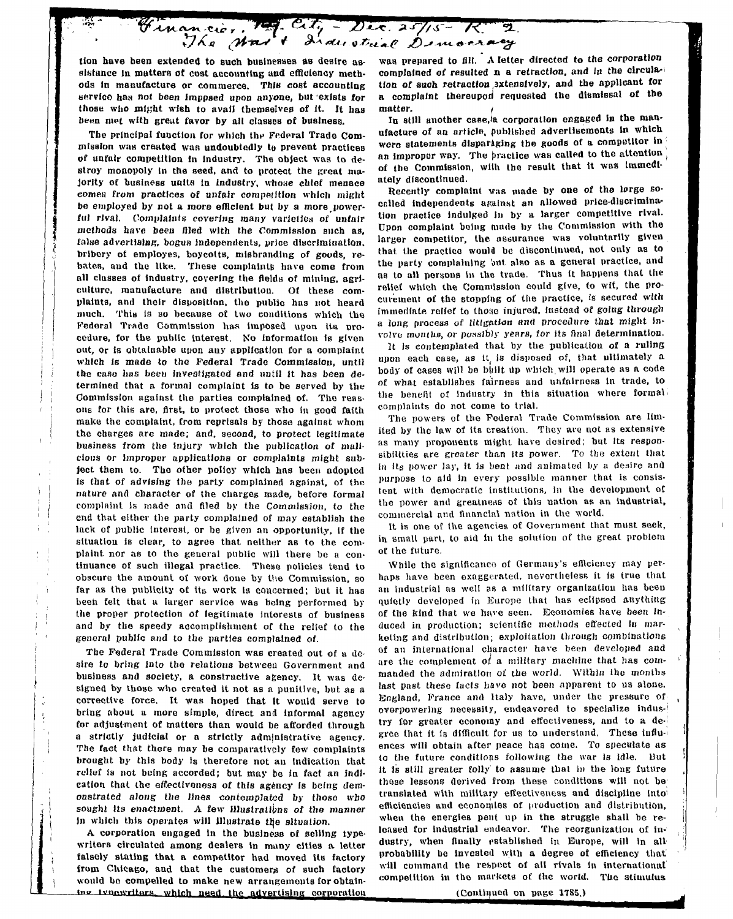City - Dec. 25/15 - R 2 Financie, 19

tion have been extended to such businesses as desire as**sistance In matters ot cost accounting and efficiency meth**ods in manufacture or commerce. This cost accounting **tservfco han not been Imppaed upon anyone, but exists for** those who might wish to avail themselves of it. It has **been met with great favor by all classes of business.**

The principal function for which the Federal Trade Commission was created was undoubtedly to prevent practices **of unfair competition In industry. The object was to destroy monopoly in the seed, and to protect the groat ma jority of business units in industry, whone chief menace cornea from practices of unfair competition which might be employed by not a more efficient but by a more.power**ful rival. Complaints covering many varieties of unfair **methods have been filed with the Commission such as, false advertising, bogus Independents, price discrimination,** bribery of employes, boycotts, misbranding of goods, re**bates, and tbe like. These complaints have come from all classes of Industry, covering the fields of mining, agriculture, manufacture and distribution. Of these complaints, and their disposition, the public has not heard much. This Is so because oE two conditions which the Federal Trade Commission haa imposed upon Its pro**cedure, for the public interest. No information is given **out, or is obtainable upon any application tor a complaint** which is made to the Federal Trade Commission, until the case has been investigated and until it has been de**termined that a formal complaint is to be served by the** Commission against the parties complained of. The reas**ons for this are, first, to protect those who in good faith** make the complaint, from reprisals by those against whom **the charges are made ; and, second, to protect legitimate business from the injury which the publication of malicious or Improper applications or complaints might subject them to. The other policy which has been adopted is that of advising the party complained against, ol the nature and character of the charges made , before formal complaint, is made and filed by the Commission, to the** end that either the party complained of may establish the **lack of public interest, or be given an opportunity, If the situation is clear, to agree that neither as to the complaint, nor as to the general public will there be a continuance of such illegal practice. These policies tend to obscure the amount of work done by the Commission, so** far as the publicity of its work is concerned; but it has **been felt that a larger service was being performed by the proper protection of legitimate Interests of business and by the speedy accomplishment of the relief to the general public and to the parties complained of.**

**The Federal Trade Commission was created out of a desire to bring Into the relations between Government and** business and society, a constructive agency. It was designed by those who created it not as a punitive, but as a **corrective force. It was hoped that It would serve to bring about a more simple, direct and informal agency for adjustment Of matters than would be afforded through a strictly judicial or a strictly administrative agency.** The fact that there may be comparatively few complaints **brought by this body is therefore not an Indication that** relief is not being accorded; but may be in fact an indi**cation that the effectiveness of this agency is being demonstrated along the lines contemplated by those who sought Its enactment. A few illustrations of the manner** in which this operates will illustrate the situation.

**A corporation engaged In the business of selling type**writers circulated among dealers in many cities a letter **falsely stating that a competitor had moved its factory from Chicago, and that the customers of such factory** would be compelled to make new arrangements for obtaining ivnewriters, which need the advertising corporation **was prepared to fill. A letter directed to the corporation complained of resulted n a retraction, and in the circula**tion of such retraction extensively, and the applicant for a complaint thereupon requested the dismissal of the **matter.** *(*

In still another case.<sup>i</sup>a corporation engaged in the man**ufacture of an article, published advertisements In which were statements disparaging tbe goods of a competitor In j an improper way. The practice was called to tbe attontion , of the Commission, wilh tbe result that it was Immediately discontinued.**

Recently complaint was made by one of the lorge so**called Independents against an allowed price-discrimination practice indulged In by a larger competitive rival. Upon complaint being made by the Commission with the larger competitor, the assurance was voluntarily given that the practice would be discontinued, not only as to the party complaining out also as a general practice, and as to all persons In the trade. Thus It happens that the relief which the Commission could give, to wit, the procurement of the stopping of the practice, is secured with immediate relief to those injured. Instead of going through a long process of litigation and procedure that might involve inuntbB, or possibly years,** *tor* **its final determination.**

**It is contemplated that by the publication of a ruling upon each case, as it is disposed of, that ultimately a body of cases will be blillt Up which.will operate as a code of what establishes fairness and unfairness in trade, to the benefit of Industry in this situation where formal complaints do not come to trial.**

**The powers of the Federal Trade Commission are limited by the law of its creation. They are not as extensive as many proponents might have desired; but its responsibilities are greater than Its power. To tho extent that in Itg power lay, it is bent and animated by a desire and purpose to aid in every possible manner that is consis**tent with democratic institutions, in the development of **the power and greatness of this nation as an industrial, commercial and financial nation in the world.**

**It is one of the agencies of Government that must seek, in small part, to aid in the solution of the great, problem of the future.**

While the significance of Germany's efficiency may per**haps have been exaggerated, nevertheless it is true that an Industrial as well as a military organization has been quietly developed in Europe that has eclipsed anything** of the kind that we have seen. Economies have been in**duced in production; scientific methods effected In marketing and distribution; exploitation through combinations of an international character have been developed and are the complement of a military machine that has commanded the admiration of the world. Within the months** last past these facts have not been apparent to us alone. **England, Prance and Italy have, under the pressure of overpowering necessity, endeavored to specialize Indus-<sup>1</sup> try for greater economy and effectiveness, and to a degree that it is difficult for us to understand. These influ-i ences will obtain after peace has come. To speculate as to the future conditions following the war is idle. But** it is still greater folly to assume that in the long future **those lessons derived from these conditions will not be translated with military effectiveness and discipline into<sup>1</sup> efficiencies and economies of production and distribution, when the energies pent up in the struggle shall be released for industrial endeavor. The reorganization of industry, when finally established in Europe, will in all probability be Invested with a degree of efficiency that** will command the respect of all rivals in international **competition in tho markets of the world. The stimulus**

**(Continued on page 1785.)**